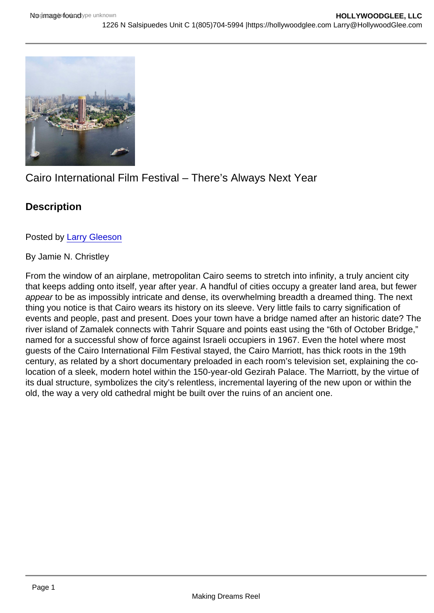## Cairo International Film Festival – There's Always Next Year

**Description** 

Posted by [Larry Gleeson](http://sbccfilmreviews.org/?s=LARRY+GLEESON)

## By Jamie N. Christley

From the window of an airplane, metropolitan Cairo seems to stretch into infinity, a truly ancient city that keeps adding onto itself, year after year. A handful of cities occupy a greater land area, but fewer appear to be as impossibly intricate and dense, its overwhelming breadth a dreamed thing. The next thing you notice is that Cairo wears its history on its sleeve. Very little fails to carry signification of events and people, past and present. Does your town have a bridge named after an historic date? The river island of Zamalek connects with Tahrir Square and points east using the "6th of October Bridge," named for a successful show of force against Israeli occupiers in 1967. Even the hotel where most guests of the Cairo International Film Festival stayed, the Cairo Marriott, has thick roots in the 19th century, as related by a short documentary preloaded in each room's television set, explaining the colocation of a sleek, modern hotel within the 150-year-old Gezirah Palace. The Marriott, by the virtue of its dual structure, symbolizes the city's relentless, incremental layering of the new upon or within the old, the way a very old cathedral might be built over the ruins of an ancient one.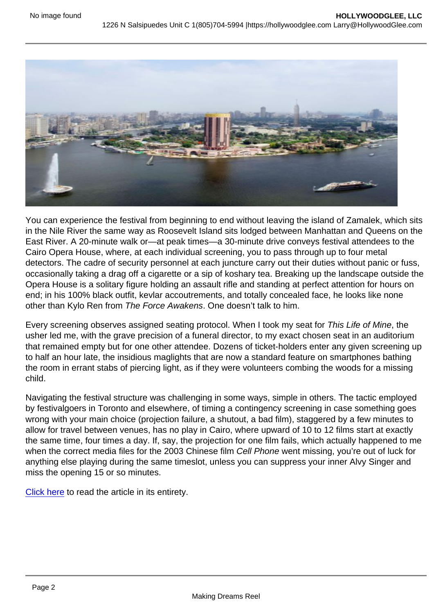You can experience the festival from beginning to end without leaving the island of Zamalek, which sits in the Nile River the same way as Roosevelt Island sits lodged between Manhattan and Queens on the East River. A 20-minute walk or—at peak times—a 30-minute drive conveys festival attendees to the Cairo Opera House, where, at each individual screening, you to pass through up to four metal detectors. The cadre of security personnel at each juncture carry out their duties without panic or fuss, occasionally taking a drag off a cigarette or a sip of koshary tea. Breaking up the landscape outside the Opera House is a solitary figure holding an assault rifle and standing at perfect attention for hours on end; in his 100% black outfit, kevlar accoutrements, and totally concealed face, he looks like none other than Kylo Ren from The Force Awakens. One doesn't talk to him.

Every screening observes assigned seating protocol. When I took my seat for This Life of Mine, the usher led me, with the grave precision of a funeral director, to my exact chosen seat in an auditorium that remained empty but for one other attendee. Dozens of ticket-holders enter any given screening up to half an hour late, the insidious maglights that are now a standard feature on smartphones bathing the room in errant stabs of piercing light, as if they were volunteers combing the woods for a missing child.

Navigating the festival structure was challenging in some ways, simple in others. The tactic employed by festivalgoers in Toronto and elsewhere, of timing a contingency screening in case something goes wrong with your main choice (projection failure, a shutout, a bad film), staggered by a few minutes to allow for travel between venues, has no play in Cairo, where upward of 10 to 12 films start at exactly the same time, four times a day. If, say, the projection for one film fails, which actually happened to me when the correct media files for the 2003 Chinese film Cell Phone went missing, you're out of luck for anything else playing during the same timeslot, unless you can suppress your inner Alvy Singer and miss the opening 15 or so minutes.

[Click here](http://www.slantmagazine.com/house/article/cairo-international-film-festival-the-other-land-we-are-never-alone-clash-home-sweet-home-kills-on-wheels-mimosas-and-more/P2) to read the article in its entirety.